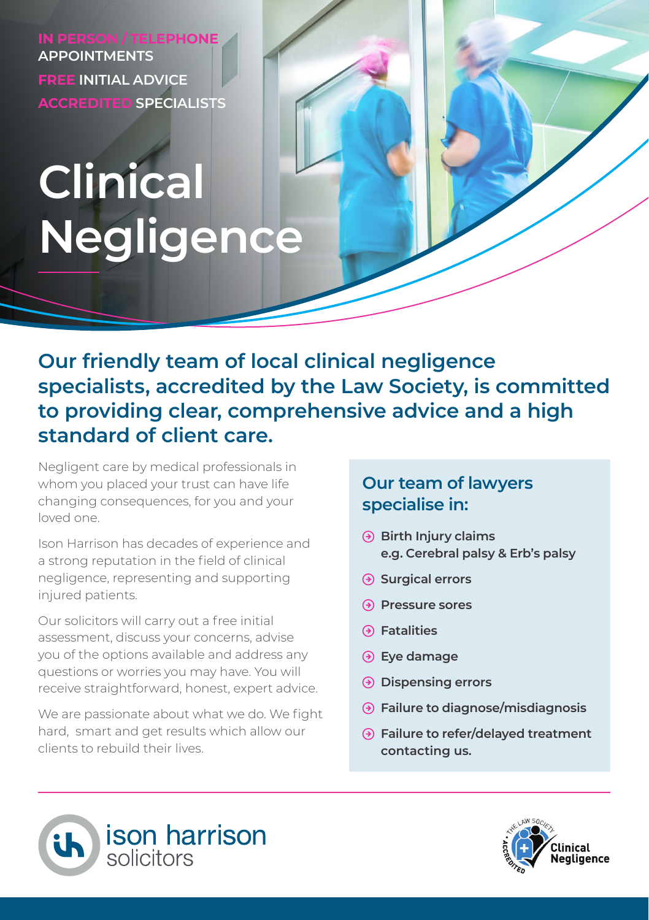**APPOINTMENTS FREE INITIAL ADVICE ACCREDITED SPECIALISTS**

# **Clinical Negligence**

**Our friendly team of local clinical negligence specialists, accredited by the Law Society, is committed to providing clear, comprehensive advice and a high standard of client care.**

Negligent care by medical professionals in whom you placed your trust can have life changing consequences, for you and your loved one.

Ison Harrison has decades of experience and a strong reputation in the field of clinical negligence, representing and supporting injured patients.

Our solicitors will carry out a free initial assessment, discuss your concerns, advise you of the options available and address any questions or worries you may have. You will receive straightforward, honest, expert advice.

We are passionate about what we do. We fight hard, smart and get results which allow our clients to rebuild their lives.

## **Our team of lawyers specialise in:**

- **Birth Injury claims e.g. Cerebral palsy & Erb's palsy**
- **Surgical errors**
- **Pressure sores**
- **Fatalities**
- **Eye damage**
- **Dispensing errors**
- **Failure to diagnose/misdiagnosis**
- **Failure to refer/delayed treatment contacting us.**